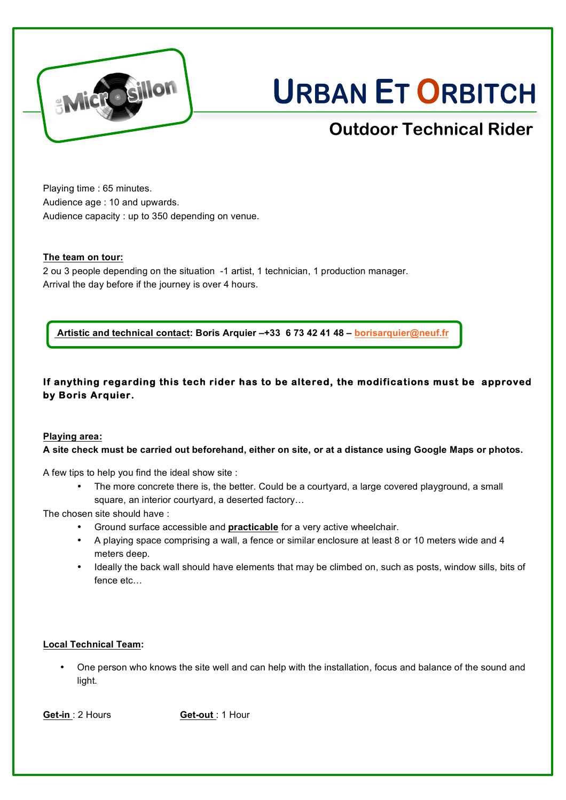

# **URBAN ET ORBITCH**

# **Outdoor Technical Rider**

Playing time : 65 minutes. Audience age : 10 and upwards. Audience capacity : up to 350 depending on venue.

# **The team on tour:**

2 ou 3 people depending on the situation -1 artist, 1 technician, 1 production manager. Arrival the day before if the journey is over 4 hours.

**Artistic and technical contact: Boris Arquier –+33 6 73 42 41 48 – borisarquier@neuf.fr**

# **If anything regarding this tech rider has to be altered, the modifications must be approved by Boris Arquier.**

# **Playing area:**

**A site check must be carried out beforehand, either on site, or at a distance using Google Maps or photos.**

A few tips to help you find the ideal show site :

• The more concrete there is, the better. Could be a courtyard, a large covered playground, a small square, an interior courtyard, a deserted factory…

The chosen site should have :

- Ground surface accessible and **practicable** for a very active wheelchair.
- A playing space comprising a wall, a fence or similar enclosure at least 8 or 10 meters wide and 4 meters deep.
- Ideally the back wall should have elements that may be climbed on, such as posts, window sills, bits of fence etc…

# **Local Technical Team:**

• One person who knows the site well and can help with the installation, focus and balance of the sound and light.

**Get-in** : 2 Hours **Get-out** : 1 Hour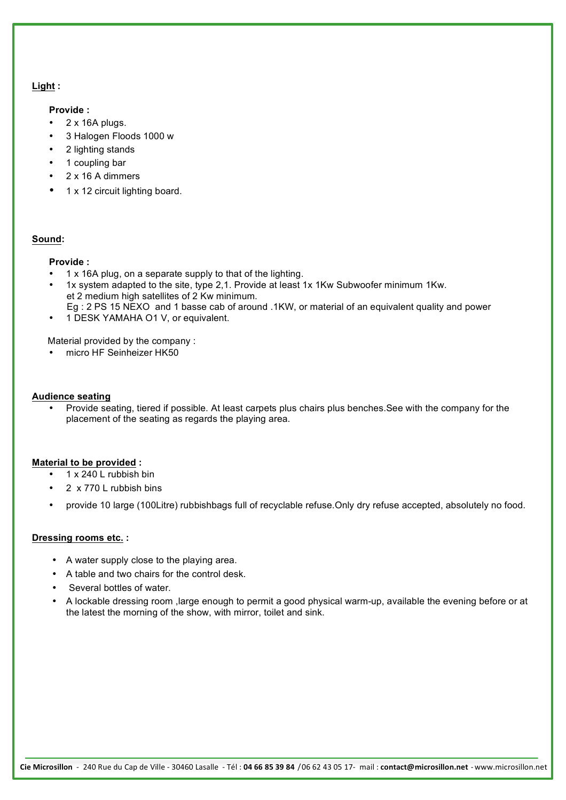#### **Light :**

#### **Provide :**

- 2 x 16A plugs.
- 3 Halogen Floods 1000 w
- 2 lighting stands
- 1 coupling bar
- 2 x 16 A dimmers
- 1 x 12 circuit lighting board.

# **Sound:**

# **Provide :**

- 1 x 16A plug, on a separate supply to that of the lighting.
- 1x system adapted to the site, type 2,1. Provide at least 1x 1Kw Subwoofer minimum 1Kw. et 2 medium high satellites of 2 Kw minimum.
	- Eg : 2 PS 15 NEXO and 1 basse cab of around .1KW, or material of an equivalent quality and power
- 1 DESK YAMAHA O1 V, or equivalent.

Material provided by the company :

• micro HF Seinheizer HK50

#### **Audience seating**

• Provide seating, tiered if possible. At least carpets plus chairs plus benches.See with the company for the placement of the seating as regards the playing area.

# **Material to be provided :**

- 1 x 240 L rubbish bin
- 2 x 770 L rubbish bins
- provide 10 large (100Litre) rubbishbags full of recyclable refuse.Only dry refuse accepted, absolutely no food.

# **Dressing rooms etc. :**

- A water supply close to the playing area.
- A table and two chairs for the control desk.
- Several bottles of water.
- A lockable dressing room ,large enough to permit a good physical warm-up, available the evening before or at the latest the morning of the show, with mirror, toilet and sink.